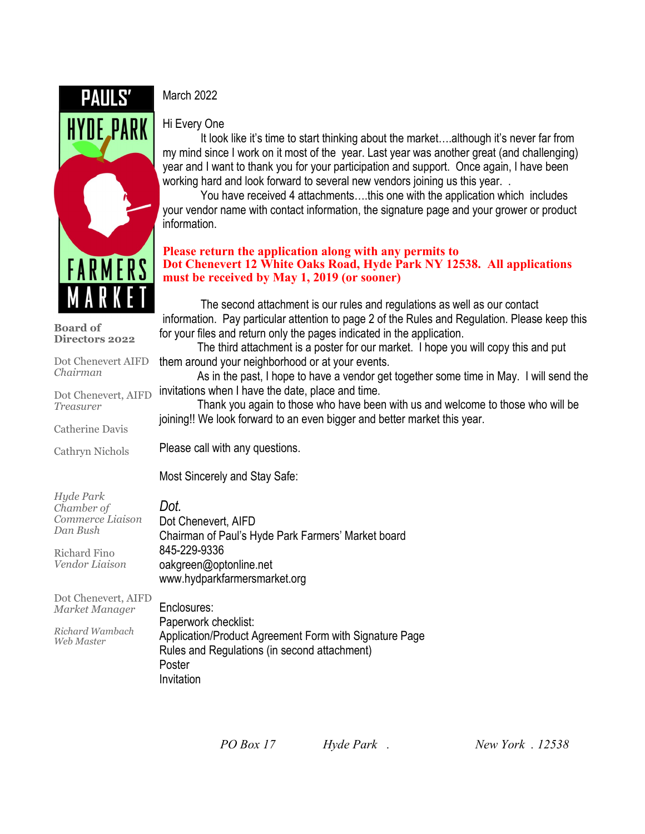

**Board of Directors 2022**

*Chairman*

*Treasurer*

Catherine Davis

Cathryn Nichols

Dot Chenevert AIFD

# March 2022

#### Hi Every One

It look like it's time to start thinking about the market....although it's never far from my mind since I work on it most of the year. Last year was another great (and challenging) year and I want to thank you for your participation and support. Once again, I have been working hard and look forward to several new vendors joining us this year. .

You have received 4 attachments….this one with the application which includes your vendor name with contact information, the signature page and your grower or product information.

#### **Please return the application along with any permits to Dot Chenevert 12 White Oaks Road, Hyde Park NY 12538. All applications must be received by May 1, 2019 (or sooner)**

The second attachment is our rules and regulations as well as our contact information. Pay particular attention to page 2 of the Rules and Regulation. Please keep this for your files and return only the pages indicated in the application.

The third attachment is a poster for our market. I hope you will copy this and put them around your neighborhood or at your events.

Dot Chenevert, AIFD invitations when I have the date, place and time. As in the past, I hope to have a vendor get together some time in May. I will send the

Thank you again to those who have been with us and welcome to those who will be joining!! We look forward to an even bigger and better market this year.

Please call with any questions.

Most Sincerely and Stay Safe:

| Hyde Park                             | Dot.                                               |
|---------------------------------------|----------------------------------------------------|
| Chamber of                            | Dot Chenevert, AIFD                                |
| Commerce Liaison                      | Chairman of Paul's Hyde Park Farmers' Market board |
| Dan Bush                              | 845-229-9336                                       |
| Richard Fino                          | oakgreen@optonline.net                             |
| Vendor Liaison                        | www.hydparkfarmersmarket.org                       |
| Dot Chenevert, AIFD<br>Market Manager | Enclosures:                                        |

*Market Manager Richard Wambach Web Master* Enclosures: Paperwork checklist: Application/Product Agreement Form with Signature Page Rules and Regulations (in second attachment) Poster Invitation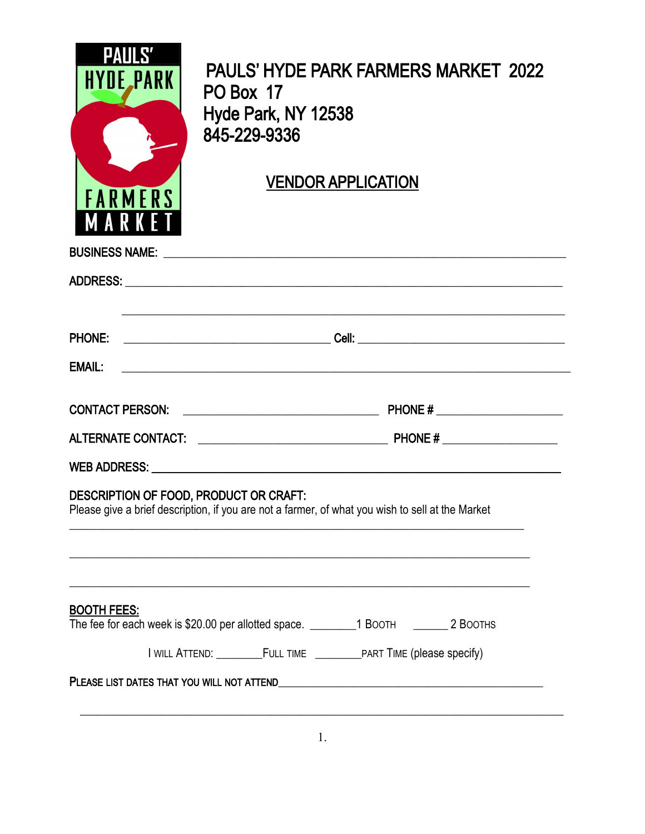| <b>PAULS'</b><br><b>HYDE_PARK</b><br><b>FARMERS</b><br>MARKET                                                                              | <b>PAULS' HYDE PARK FARMERS MARKET 2022</b><br>PO Box 17<br>Hyde Park, NY 12538<br>845-229-9336<br><b>VENDOR APPLICATION</b> |  |  |
|--------------------------------------------------------------------------------------------------------------------------------------------|------------------------------------------------------------------------------------------------------------------------------|--|--|
|                                                                                                                                            |                                                                                                                              |  |  |
|                                                                                                                                            |                                                                                                                              |  |  |
|                                                                                                                                            | <u> 1999 - Johann John Stone, market fan de Fryske kunsten it fan de fan de Fryske kunsten fan de Fryske kunsten</u>         |  |  |
| <b>EMAIL:</b>                                                                                                                              |                                                                                                                              |  |  |
|                                                                                                                                            |                                                                                                                              |  |  |
|                                                                                                                                            |                                                                                                                              |  |  |
|                                                                                                                                            | WEB ADDRESS: WEB ADDRESS:                                                                                                    |  |  |
| DESCRIPTION OF FOOD, PRODUCT OR CRAFT:<br>Please give a brief description, if you are not a farmer, of what you wish to sell at the Market |                                                                                                                              |  |  |
| <b>BOOTH FEES:</b>                                                                                                                         | The fee for each week is \$20.00 per allotted space. _________1 BOOTH ________2 BOOTHS                                       |  |  |
|                                                                                                                                            |                                                                                                                              |  |  |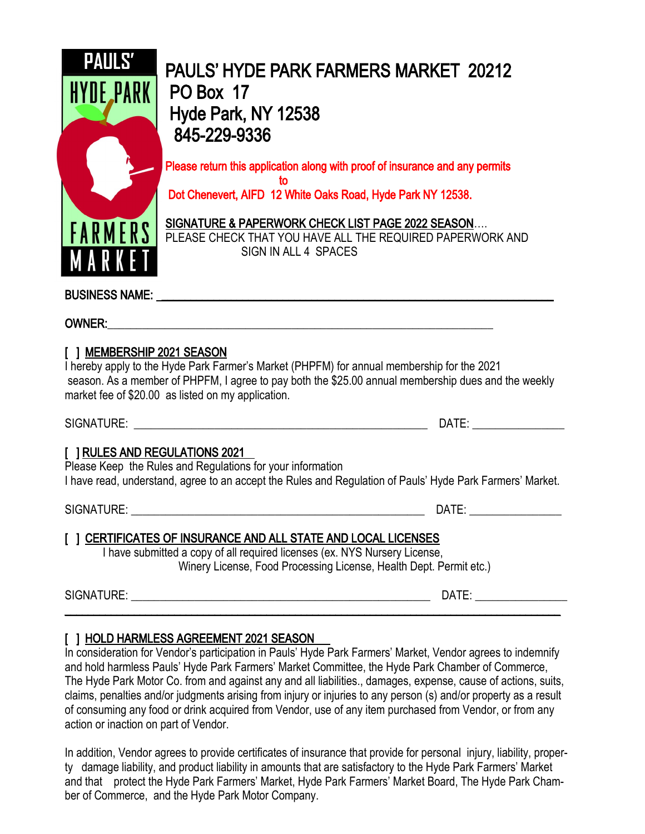

PAULS' HYDE PARK FARMERS MARKET 20212 PO Box 17 Hyde Park, NY 12538 845-229-9336

Please return this application along with proof of insurance and any permits to the control of the control of the control of the control of the control of the control of the control of th Dot Chenevert, AIFD 12 White Oaks Road, Hyde Park NY 12538.

SIGNATURE & PAPERWORK CHECK LIST PAGE 2022 SEASON…. PLEASE CHECK THAT YOU HAVE ALL THE REQUIRED PAPERWORK AND SIGN IN ALL 4 SPACES

BUSINESS NAME: with the set of the set of the set of the set of the set of the set of the set of the set of the set of the set of the set of the set of the set of the set of the set of the set of the set of the set of the

#### OWNER:\_\_\_\_\_\_\_\_\_\_\_\_\_\_\_\_\_\_\_\_\_\_\_\_\_\_\_\_\_\_\_\_\_\_\_\_\_\_\_\_\_\_\_\_\_\_\_\_\_\_\_\_\_\_\_\_\_\_\_\_\_\_\_\_\_\_\_

## [ ] MEMBERSHIP 2021 SEASON

I hereby apply to the Hyde Park Farmer's Market (PHPFM) for annual membership for the 2021 season. As a member of PHPFM, I agree to pay both the \$25.00 annual membership dues and the weekly market fee of \$20.00 as listed on my application.

SIGNATURE: \_\_\_\_\_\_\_\_\_\_\_\_\_\_\_\_\_\_\_\_\_\_\_\_\_\_\_\_\_\_\_\_\_\_\_\_\_\_\_\_\_\_\_\_\_\_\_\_\_\_\_ DATE: \_\_\_\_\_\_\_\_\_\_\_\_\_\_\_\_

## [ ] RULES AND REGULATIONS 2021

Please Keep the Rules and Regulations for your information I have read, understand, agree to an accept the Rules and Regulation of Pauls' Hyde Park Farmers' Market.

SIGNATURE: \_\_\_\_\_\_\_\_\_\_\_\_\_\_\_\_\_\_\_\_\_\_\_\_\_\_\_\_\_\_\_\_\_\_\_\_\_\_\_\_\_\_\_\_\_\_\_\_\_\_\_ DATE: \_\_\_\_\_\_\_\_\_\_\_\_\_\_\_\_

## [ ] CERTIFICATES OF INSURANCE AND ALL STATE AND LOCAL LICENSES

I have submitted a copy of all required licenses (ex. NYS Nursery License, Winery License, Food Processing License, Health Dept. Permit etc.)

SIGNATURE: \_\_\_\_\_\_\_\_\_\_\_\_\_\_\_\_\_\_\_\_\_\_\_\_\_\_\_\_\_\_\_\_\_\_\_\_\_\_\_\_\_\_\_\_\_\_\_\_\_\_\_\_ DATE: \_\_\_\_\_\_\_\_\_\_\_\_\_\_\_\_ \_\_\_\_\_\_\_\_\_\_\_\_\_\_\_\_\_\_\_\_\_\_\_\_\_\_\_\_\_\_\_\_\_\_\_\_\_\_\_\_\_\_\_\_\_\_\_\_\_\_\_\_\_\_\_\_\_\_\_\_\_\_\_\_\_\_\_\_\_\_\_\_\_\_\_\_\_\_\_\_\_\_\_\_\_\_

## [ ] HOLD HARMLESS AGREEMENT 2021 SEASON

In consideration for Vendor's participation in Pauls' Hyde Park Farmers' Market, Vendor agrees to indemnify and hold harmless Pauls' Hyde Park Farmers' Market Committee, the Hyde Park Chamber of Commerce, The Hyde Park Motor Co. from and against any and all liabilities., damages, expense, cause of actions, suits, claims, penalties and/or judgments arising from injury or injuries to any person (s) and/or property as a result of consuming any food or drink acquired from Vendor, use of any item purchased from Vendor, or from any action or inaction on part of Vendor.

In addition, Vendor agrees to provide certificates of insurance that provide for personal injury, liability, property damage liability, and product liability in amounts that are satisfactory to the Hyde Park Farmers' Market and that protect the Hyde Park Farmers' Market, Hyde Park Farmers' Market Board, The Hyde Park Chamber of Commerce, and the Hyde Park Motor Company.